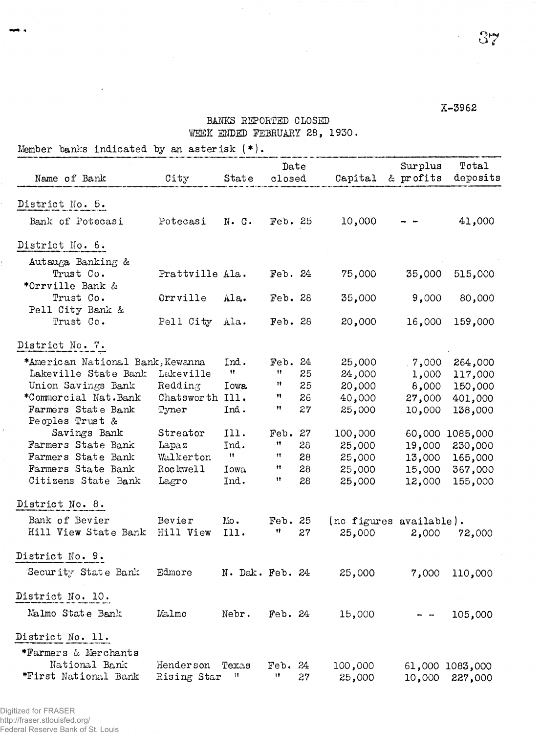## X-3962

## BANKS REPORTED CLOSED WEEK ENDED FEBRUARY 28, 1930.

 $\bar{\mathcal{A}}$ 

Member banks indicated by an asterisk  $(*)$ .

**CONTRACTOR** 

 $\bar{1}$ 

| Name of Bank                          | City            | State               | $\mathtt{Date}$<br>closed |    | Capital                 | Surplus<br>& profits | Total<br>deposits |
|---------------------------------------|-----------------|---------------------|---------------------------|----|-------------------------|----------------------|-------------------|
|                                       |                 |                     |                           |    |                         |                      |                   |
| District No. 5.                       |                 |                     |                           |    |                         |                      |                   |
| Bank of Potecasi                      | Potecasi        | $N - G$ .           | Feb. 25                   |    | 10,000                  |                      | 41,000            |
| District No. 6.                       |                 |                     |                           |    |                         |                      |                   |
| Autauga Banking &                     |                 |                     |                           |    |                         |                      |                   |
| Trust Co.                             | Prattville Ala. |                     | Feb. 24                   |    | 75,000                  | 35,000               | 515,000           |
| *Orrville Bank &                      |                 |                     |                           |    |                         |                      |                   |
| Trust Co.                             | Orrville        | Ala.                | Feb. 28                   |    | 35,000                  | 9,000                | 80,000            |
| Pell City Bank &                      |                 |                     |                           |    |                         |                      |                   |
| Trust Co.                             | Pell City       | Ala.                | Feb. 28                   |    | 20,000                  | 16,000               | 159,000           |
| District No. 7.                       |                 |                     |                           |    |                         |                      |                   |
| *American National Bank, Kewanna      |                 | Ind.                | Feb. 24                   |    | 25,000                  | .7,000               | 264,000           |
| Lakeville State Bank                  | Lakeville       | $\mathbf{H}$        | 11                        | 25 | 24,000                  | 1,000                | 117,000           |
| Union Savings Bank                    | Redding         | Iowa.               | 11                        | 25 | 20,000                  | 8,000                | 150,000           |
| *Commercial Nat.Bank                  | Chatsworth Ill. |                     | 11                        | 26 | 40,000                  | 27,000               | 401,000           |
| Farmers State Bank                    | Tyner           | Ind.                | Ħ                         | 27 | 25,000                  | 10,000               | 138,000           |
| Peoples Trust &                       |                 |                     |                           |    |                         |                      |                   |
| Savings Bank                          | Streator        | Ill.                | Feb.                      | 27 | 100,000                 |                      | 60,000 1085,000   |
| Farmers State Bank                    | Lapaz           | Ind.                | Ħ                         | 28 | 25,000                  | 19,000               | 230,000           |
| Farmers State Bank                    | Walkerton       | $\ddot{\mathbf{H}}$ | 11                        | 28 | 25,000                  | 13,000               | 165,000           |
| Farmers State Bank                    | Rockwell        | Iowa.               | 11                        | 28 | 25,000                  | 15,000               | 367,000           |
| Citizens State Bank                   | Lagro           | Ind.                | Ħ                         | 28 | 25,000                  | 12,000               | 155,000           |
| District No. 8.                       |                 |                     |                           |    |                         |                      |                   |
| Bank of Bevier                        | Bevier          | $\text{Mo}$ .       | Feb. 25                   |    | (no figures available). |                      |                   |
| Hill View State Bank                  | Hill View       | 111.                | Ħ                         | 27 | 25,000                  | 2,000                | 72,000            |
|                                       |                 |                     |                           |    |                         |                      |                   |
| District No. 9.                       |                 |                     |                           |    |                         |                      |                   |
| Security State Bank                   | Edmore          | N. Dak. Feb. 24     |                           |    | 25,000                  | 7,000                | 110,000           |
| District No. 10.                      |                 |                     |                           |    |                         |                      |                   |
|                                       |                 |                     |                           |    |                         |                      |                   |
| Malmo State Bank                      | Malmo           | Nebr.               | $\text{Feb. } 24$         |    | 15,000                  |                      | 105,000           |
| District No. 11.                      |                 |                     |                           |    |                         |                      |                   |
|                                       |                 |                     |                           |    |                         |                      |                   |
| *Farmers & Merchants                  |                 |                     |                           |    |                         |                      |                   |
| National Bank<br>*First National Bank | Henderson       | Texas<br>11         | $\text{Feb. } 24$<br>11   |    | 100,000                 |                      | 61,000 1083,000   |
|                                       | Rising Star     |                     |                           | 27 | 25,000                  | 10,000               | 227,000           |
|                                       |                 |                     |                           |    |                         |                      |                   |

Digitized for FRASER http://fraser.stlouisfed.org/ Federal Reserve Bank of St. Louis